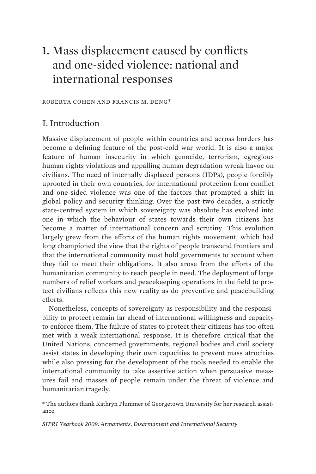# **1.** Mass displacement caused by conflicts and one-sided violence: national and international responses

ROBERTA COHEN AND FRANCIS M. DENG\*

# I. Introduction

Massive displacement of people within countries and across borders has become a defining feature of the post-cold war world. It is also a major feature of human insecurity in which genocide, terrorism, egregious human rights violations and appalling human degradation wreak havoc on civilians. The need of internally displaced persons (IDPs), people forcibly uprooted in their own countries, for international protection from conflict and one-sided violence was one of the factors that prompted a shift in global policy and security thinking. Over the past two decades, a strictly state-centred system in which sovereignty was absolute has evolved into one in which the behaviour of states towards their own citizens has become a matter of international concern and scrutiny. This evolution largely grew from the efforts of the human rights movement, which had long championed the view that the rights of people transcend frontiers and that the international community must hold governments to account when they fail to meet their obligations. It also arose from the efforts of the humanitarian community to reach people in need. The deployment of large numbers of relief workers and peacekeeping operations in the field to protect civilians reflects this new reality as do preventive and peacebuilding efforts.

Nonetheless, concepts of sovereignty as responsibility and the responsibility to protect remain far ahead of international willingness and capacity to enforce them. The failure of states to protect their citizens has too often met with a weak international response. It is therefore critical that the United Nations, concerned governments, regional bodies and civil society assist states in developing their own capacities to prevent mass atrocities while also pressing for the development of the tools needed to enable the international community to take assertive action when persuasive measures fail and masses of people remain under the threat of violence and humanitarian tragedy.

\* The authors thank Kathryn Plummer of Georgetown University for her research assistance.

*SIPRI Yearbook 2009: Armaments, Disarmament and International Security*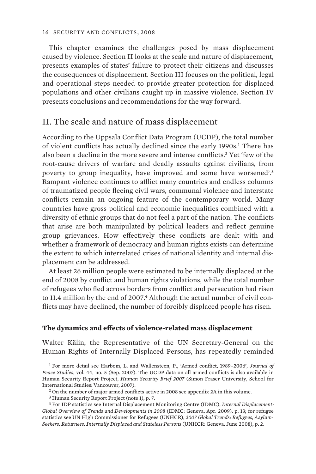This chapter examines the challenges posed by mass displacement caused by violence. Section II looks at the scale and nature of displacement, presents examples of states' failure to protect their citizens and discusses the consequences of displacement. Section III focuses on the political, legal and operational steps needed to provide greater protection for displaced populations and other civilians caught up in massive violence. Section IV presents conclusions and recommendations for the way forward.

# II. The scale and nature of mass displacement

According to the Uppsala Conflict Data Program (UCDP), the total number of violent conflicts has actually declined since the early 1990s.<sup>1</sup> There has also been a decline in the more severe and intense conflicts.<sup>2</sup> Yet 'few of the root-cause drivers of warfare and deadly assaults against civilians, from poverty to group inequality, have improved and some have worsened'.<sup>3</sup> Rampant violence continues to afflict many countries and endless columns of traumatized people fleeing civil wars, communal violence and interstate conflicts remain an ongoing feature of the contemporary world. Many countries have gross political and economic inequalities combined with a diversity of ethnic groups that do not feel a part of the nation. The conflicts that arise are both manipulated by political leaders and reflect genuine group grievances. How effectively these conflicts are dealt with and whether a framework of democracy and human rights exists can determine the extent to which interrelated crises of national identity and internal displacement can be addressed.

At least 26 million people were estimated to be internally displaced at the end of 2008 by conflict and human rights violations, while the total number of refugees who fled across borders from conflict and persecution had risen to 11.4 million by the end of 2007.<sup>4</sup> Although the actual number of civil conflicts may have declined, the number of forcibly displaced people has risen.

## **The dynamics and effects of violence-related mass displacement**

Walter Kälin, the Representative of the UN Secretary-General on the Human Rights of Internally Displaced Persons, has repeatedly reminded

1 For more detail see Harbom, L. and Wallensteen, P., 'Armed conflict, 1989–2006', *Journal of Peace Studies*, vol. 44, no. 5 (Sep. 2007). The UCDP data on all armed conflicts is also available in Human Security Report Project, *Human Security Brief 2007* (Simon Fraser University, School for International Studies: Vancouver, 2007).

2 On the number of major armed conflicts active in 2008 see appendix 2A in this volume.

3 Human Security Report Project (note 1), p. 7.

4 For IDP statistics see Internal Displacement Monitoring Centre (IDMC), *Internal Displacement: Global Overview of Trends and Developments in 2008* (IDMC: Geneva, Apr. 2009), p. 13; for refugee statistics see UN High Commissioner for Refugees (UNHCR), *2007 Global Trends: Refugees, Asylum-Seekers, Returnees, Internally Displaced and Stateless Persons* (UNHCR: Geneva, June 2008), p. 2.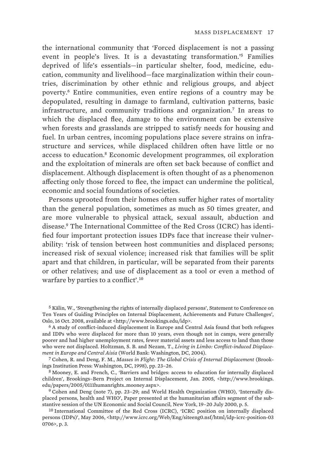the international community that 'Forced displacement is not a passing event in people's lives. It is a devastating transformation.'<sup>5</sup> Families deprived of life's essentials—in particular shelter, food, medicine, education, community and livelihood—face marginalization within their countries, discrimination by other ethnic and religious groups, and abject poverty.<sup>6</sup> Entire communities, even entire regions of a country may be depopulated, resulting in damage to farmland, cultivation patterns, basic infrastructure, and community traditions and organization.<sup>7</sup> In areas to which the displaced flee, damage to the environment can be extensive when forests and grasslands are stripped to satisfy needs for housing and fuel. In urban centres, incoming populations place severe strains on infrastructure and services, while displaced children often have little or no access to education.<sup>8</sup> Economic development programmes, oil exploration and the exploitation of minerals are often set back because of conflict and displacement. Although displacement is often thought of as a phenomenon affecting only those forced to flee, the impact can undermine the political, economic and social foundations of societies.

Persons uprooted from their homes often suffer higher rates of mortality than the general population, sometimes as much as 50 times greater, and are more vulnerable to physical attack, sexual assault, abduction and disease.9 The International Committee of the Red Cross (ICRC) has identified four important protection issues IDPs face that increase their vulnerability: 'risk of tension between host communities and displaced persons; increased risk of sexual violence; increased risk that families will be split apart and that children, in particular, will be separated from their parents or other relatives; and use of displacement as a tool or even a method of warfare by parties to a conflict'.<sup>10</sup>

7 Cohen, R. and Deng, F. M., *Masses in Flight: The Global Crisis of Internal Displacement* (Brookings Institution Press: Washington, DC, 1998), pp. 23–26.

<sup>5</sup> Kälin, W., 'Strengthening the rights of internally displaced persons', Statement to Conference on Ten Years of Guiding Principles on Internal Displacement, Achievements and Future Challenges', Oslo, 16 Oct. 2008, available at <http://www.brookings.edu/idp>.

<sup>6</sup> A study of conflict-induced displacement in Europe and Central Asia found that both refugees and IDPs who were displaced for more than 10 years, even though not in camps, were generally poorer and had higher unemployment rates, fewer material assets and less access to land than those who were not displaced. Holtzman, S. B. and Nezam, T., *Living in Limbo: Conflict-induced Displacement in Europe and Central Aisia* (World Bank: Washington, DC, 2004).

<sup>8</sup> Mooney, E. and French, C., 'Barriers and bridges: access to education for internally displaced children', Brookings–Bern Project on Internal Displacement, Jan. 2005, <http://www.brookings. edu/papers/2005/0111humanrights\_mooney.aspx>.

<sup>9</sup> Cohen and Deng (note 7), pp. 23–29; and World Health Organization (WHO), 'Internally displaced persons, health and WHO', Paper presented at the humanitarian affairs segment of the substantive session of the UN Economic and Social Council, New York, 19–20 July 2000, p. 5.

<sup>10</sup> International Committee of the Red Cross (ICRC), 'ICRC position on internally displaced persons (IDPs)', May 2006, <http://www.icrc.org/Web/Eng/siteeng0.nsf/html/idp-icrc-position-03 0706>, p. 3.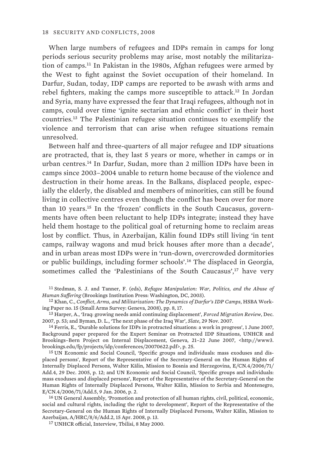When large numbers of refugees and IDPs remain in camps for long periods serious security problems may arise, most notably the militarization of camps.<sup>11</sup> In Pakistan in the 1980s, Afghan refugees were armed by the West to fight against the Soviet occupation of their homeland. In Darfur, Sudan, today, IDP camps are reported to be awash with arms and rebel fighters, making the camps more susceptible to attack.<sup>12</sup> In Jordan and Syria, many have expressed the fear that Iraqi refugees, although not in camps, could over time 'ignite sectarian and ethnic conflict' in their host countries.<sup>13</sup> The Palestinian refugee situation continues to exemplify the violence and terrorism that can arise when refugee situations remain unresolved.

Between half and three-quarters of all major refugee and IDP situations are protracted, that is, they last 5 years or more, whether in camps or in urban centres.<sup>14</sup> In Darfur, Sudan, more than 2 million IDPs have been in camps since 2003–2004 unable to return home because of the violence and destruction in their home areas. In the Balkans, displaced people, especially the elderly, the disabled and members of minorities, can still be found living in collective centres even though the conflict has been over for more than 10 years.15 In the 'frozen' conflicts in the South Caucasus, governments have often been reluctant to help IDPs integrate; instead they have held them hostage to the political goal of returning home to reclaim areas lost by conflict. Thus, in Azerbaijan, Kälin found IDPs still living 'in tent camps, railway wagons and mud brick houses after more than a decade', and in urban areas most IDPs were in 'run-down, overcrowded dormitories or public buildings, including former schools'.<sup>16</sup> The displaced in Georgia, sometimes called the 'Palestinians of the South Caucasus', $17$  have very

11 Stedman, S. J. and Tanner, F. (eds), *Refugee Manipulation: War, Politics, and the Abuse of Human Suffering* (Brookings Institution Press: Washington, DC, 2003).

12 Khan, C., *Conflict, Arms, and Militarization: The Dynamics of Darfur's IDP Camps*, HSBA Working Paper no. 15 (Small Arms Survey: Geneva, 2008), pp. 8, 17.

13 Harper, A., 'Iraq: growing needs amid continuing displacement', *Forced Migration Review*, Dec. 2007, p. 53; and Byman, D. L., 'The next phase of the Iraq War', *Slate*, 29 Nov. 2007.

14 Ferris, E., 'Durable solutions for IDPs in protracted situations: a work in progress', 1 June 2007, Background paper prepared for the Expert Seminar on Protracted IDP Situations, UNHCR and Brookings–Bern Project on Internal Displacement, Geneva, 21-22 June 2007, <http://www3. brookings.edu/fp/projects/idp/conferences/20070622.pdf>, p. 25.

15 UN Economic and Social Council, 'Specific groups and individuals: mass exoduses and displaced persons', Report of the Representative of the Secretary-General on the Human Rights of Internally Displaced Persons, Walter Kälin, Mission to Bosnia and Herzegovina, E/CN.4/2006/71/ Add.4, 29 Dec. 2005, p. 12; and UN Economic and Social Council, 'Specific groups and individuals: mass exoduses and displaced persons', Report of the Representative of the Secretary-General on the Human Rights of Internally Displaced Persons, Walter Kälin, Mission to Serbia and Montenegro, E/CN.4/2006/71/Add.5, 9 Jan. 2006, p. 2.

16 UN General Assembly, 'Promotion and protection of all human rights, civil, political, economic, social and cultural rights, including the right to development', Report of the Representative of the Secretary-General on the Human Rights of Internally Displaced Persons, Walter Kälin, Mission to Azerbaijan, A/HRC/8/6/Add.2, 15 Apr. 2008, p. 13.

17 UNHCR official, Interview, Tbilisi, 8 May 2000.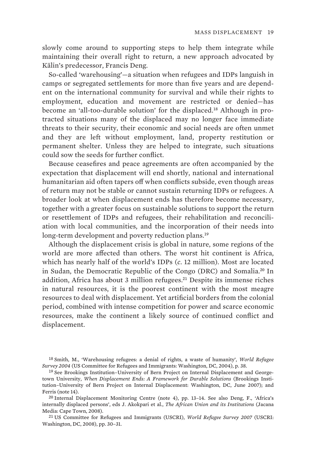slowly come around to supporting steps to help them integrate while maintaining their overall right to return, a new approach advocated by Kälin's predecessor, Francis Deng.

So-called 'warehousing'—a situation when refugees and IDPs languish in camps or segregated settlements for more than five years and are dependent on the international community for survival and while their rights to employment, education and movement are restricted or denied—has become an 'all-too-durable solution' for the displaced.18 Although in protracted situations many of the displaced may no longer face immediate threats to their security, their economic and social needs are often unmet and they are left without employment, land, property restitution or permanent shelter. Unless they are helped to integrate, such situations could sow the seeds for further conflict.

Because ceasefires and peace agreements are often accompanied by the expectation that displacement will end shortly, national and international humanitarian aid often tapers off when conflicts subside, even though areas of return may not be stable or cannot sustain returning IDPs or refugees. A broader look at when displacement ends has therefore become necessary, together with a greater focus on sustainable solutions to support the return or resettlement of IDPs and refugees, their rehabilitation and reconciliation with local communities, and the incorporation of their needs into long-term development and poverty reduction plans.<sup>19</sup>

Although the displacement crisis is global in nature, some regions of the world are more affected than others. The worst hit continent is Africa, which has nearly half of the world's IDPs (*c*. 12 million). Most are located in Sudan, the Democratic Republic of the Congo (DRC) and Somalia.<sup>20</sup> In addition, Africa has about 3 million refugees. $21$  Despite its immense riches in natural resources, it is the poorest continent with the most meagre resources to deal with displacement. Yet artificial borders from the colonial period, combined with intense competition for power and scarce economic resources, make the continent a likely source of continued conflict and displacement.

18 Smith, M., 'Warehousing refugees: a denial of rights, a waste of humanity', *World Refugee Survey 2004* (US Committee for Refugees and Immigrants: Washington, DC, 2004), p. 38.

21 US Committee for Refugees and Immigrants (USCRI), *World Refugee Survey 2007* (USCRI: Washington, DC, 2008), pp. 30–31.

<sup>19</sup> See Brookings Institution–University of Bern Project on Internal Displacement and Georgetown University, *When Displacement Ends: A Framework for Durable Solutions* (Brookings Institution–University of Bern Project on Internal Displacement: Washington, DC, June 2007); and Ferris (note 14).

<sup>20</sup> Internal Displacement Monitoring Centre (note 4), pp. 13–14. See also Deng, F., 'Africa's internally displaced persons', eds J. Akokpari et al., *The African Union and its Institutions* (Jacana Media: Cape Town, 2008).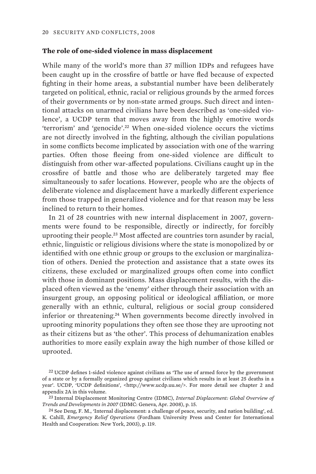### **The role of one-sided violence in mass displacement**

While many of the world's more than 37 million IDPs and refugees have been caught up in the crossfire of battle or have fled because of expected fighting in their home areas, a substantial number have been deliberately targeted on political, ethnic, racial or religious grounds by the armed forces of their governments or by non-state armed groups. Such direct and intentional attacks on unarmed civilians have been described as 'one-sided violence', a UCDP term that moves away from the highly emotive words 'terrorism' and 'genocide'.<sup>22</sup> When one-sided violence occurs the victims are not directly involved in the fighting, although the civilian populations in some conflicts become implicated by association with one of the warring parties. Often those fleeing from one-sided violence are difficult to distinguish from other war-affected populations. Civilians caught up in the crossfire of battle and those who are deliberately targeted may flee simultaneously to safer locations. However, people who are the objects of deliberate violence and displacement have a markedly different experience from those trapped in generalized violence and for that reason may be less inclined to return to their homes.

In 21 of 28 countries with new internal displacement in 2007, governments were found to be responsible, directly or indirectly, for forcibly uprooting their people.<sup>23</sup> Most affected are countries torn asunder by racial, ethnic, linguistic or religious divisions where the state is monopolized by or identified with one ethnic group or groups to the exclusion or marginalization of others. Denied the protection and assistance that a state owes its citizens, these excluded or marginalized groups often come into conflict with those in dominant positions. Mass displacement results, with the displaced often viewed as the 'enemy' either through their association with an insurgent group, an opposing political or ideological affiliation, or more generally with an ethnic, cultural, religious or social group considered inferior or threatening.<sup>24</sup> When governments become directly involved in uprooting minority populations they often see those they are uprooting not as their citizens but as 'the other'. This process of dehumanization enables authorities to more easily explain away the high number of those killed or uprooted.

<sup>&</sup>lt;sup>22</sup> UCDP defines 1-sided violence against civilians as 'The use of armed force by the government of a state or by a formally organized group against civilians which results in at least 25 deaths in a year'. UCDP, 'UCDP definitions', <http://www.ucdp.uu.se/>. For more detail see chapter 2 and appendix 2A in this volume.

<sup>23</sup> Internal Displacement Monitoring Centre (IDMC), *Internal Displacement: Global Overview of Trends and Developments in 2007* (IDMC: Geneva, Apr. 2008), p. 15.

 $24$  See Deng, F. M., 'Internal displacement: a challenge of peace, security, and nation building', ed. K. Cahill, *Emergency Relief Operations* (Fordham University Press and Center for International Health and Cooperation: New York, 2003), p. 119.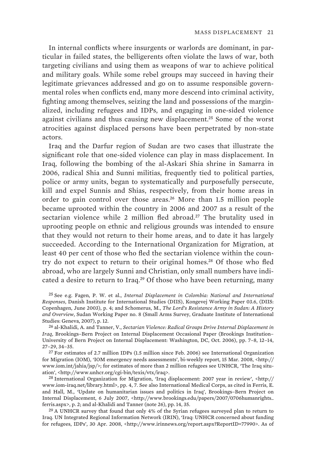In internal conflicts where insurgents or warlords are dominant, in particular in failed states, the belligerents often violate the laws of war, both targeting civilians and using them as weapons of war to achieve political and military goals. While some rebel groups may succeed in having their legitimate grievances addressed and go on to assume responsible governmental roles when conflicts end, many more descend into criminal activity, fighting among themselves, seizing the land and possessions of the marginalized, including refugees and IDPs, and engaging in one-sided violence against civilians and thus causing new displacement.<sup>25</sup> Some of the worst atrocities against displaced persons have been perpetrated by non-state actors.

Iraq and the Darfur region of Sudan are two cases that illustrate the significant role that one-sided violence can play in mass displacement. In Iraq, following the bombing of the al-Askari Shia shrine in Samarra in 2006, radical Shia and Sunni militias, frequently tied to political parties, police or army units, began to systematically and purposefully persecute, kill and expel Sunnis and Shias, respectively, from their home areas in order to gain control over those areas.<sup>26</sup> More than 1.5 million people became uprooted within the country in 2006 and 2007 as a result of the sectarian violence while 2 million fled abroad.<sup>27</sup> The brutality used in uprooting people on ethnic and religious grounds was intended to ensure that they would not return to their home areas, and to date it has largely succeeded. According to the International Organization for Migration, at least 40 per cent of those who fled the sectarian violence within the country do not expect to return to their original homes.<sup>28</sup> Of those who fled abroad, who are largely Sunni and Christian, only small numbers have indicated a desire to return to Iraq.<sup>29</sup> Of those who have been returning, many

25 See e.g. Fagen, P. W. et al., *Internal Displacement in Colombia: National and International Responses*, Danish Institute for International Studies (DIIS), Kongevej Working Paper 03.6, (DIIS: Copenhagen, June 2003), p. 4; and Schomerus, M., *The Lord's Resistance Army in Sudan: A History and Overview*, Sudan Working Paper no. 8 (Small Arms Survey, Graduate Institute of International Studies: Geneva, 2007), p. 12.

27 For estimates of 2.7 million IDPs (1.5 million since Feb. 2006) see International Organization for Migration (IOM), 'IOM emergency needs assessments', bi-weekly report, 15 Mar. 2008, <http:// www.iom.int/jahia/jsp/>; for estimates of more than 2 million refugees see UNHCR, 'The Iraq situation', <http://www.unhcr.org/cgi-bin/texis/vtx/iraq>.

28 International Organization for Migration, 'Iraq displacement: 2007 year in review', <http:// www.iom-iraq.net/library.html>, pp. 4, 7. See also International Medical Corps, as cited in Ferris, E. and Hall, M., 'Update on humanitarian issues and politics in Iraq', Brookings–Bern Project on Internal Displacement, 6 July 2007, <http://www.brookings.edu/papers/2007/0706humanrights\_ ferris.aspx>, p. 2; and al-Khalidi and Tanner (note 26), pp. 14, 35.

<sup>29</sup> A UNHCR survey that found that only 4% of the Syrian refugees surveyed plan to return to Iraq. UN Integrated Regional Information Network (IRIN), 'Iraq: UNHCR concerned about funding for refugees, IDPs', 30 Apr. 2008, <http://www.irinnews.org/report.aspx?ReportID=77990>. As of

<sup>26</sup> al-Khalidi, A. and Tanner, V., *Sectarian Violence: Radical Groups Drive Internal Displacement in Iraq*, Brookings–Bern Project on Internal Displacement Occasional Paper (Brookings Institution– University of Bern Project on Internal Displacement: Washington, DC, Oct. 2006), pp. 7–8, 12–14, 27–29, 34–35.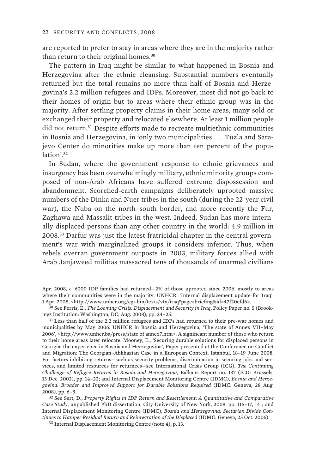are reported to prefer to stay in areas where they are in the majority rather than return to their original homes.<sup>30</sup>

The pattern in Iraq might be similar to what happened in Bosnia and Herzegovina after the ethnic cleansing. Substantial numbers eventually returned but the total remains no more than half of Bosnia and Herzegovina's 2.2 million refugees and IDPs. Moreover, most did not go back to their homes of origin but to areas where their ethnic group was in the majority. After settling property claims in their home areas, many sold or exchanged their property and relocated elsewhere. At least 1 million people did not return.<sup>31</sup> Despite efforts made to recreate multiethnic communities in Bosnia and Herzegovina, in 'only two municipalities . . . Tuzla and Sarajevo Center do minorities make up more than ten percent of the population'.<sup>32</sup>

In Sudan, where the government response to ethnic grievances and insurgency has been overwhelmingly military, ethnic minority groups composed of non-Arab Africans have suffered extreme dispossession and abandonment. Scorched-earth campaigns deliberately uprooted massive numbers of the Dinka and Nuer tribes in the south (during the 22-year civil war), the Nuba on the north–south border, and more recently the Fur, Zaghawa and Massalit tribes in the west. Indeed, Sudan has more internally displaced persons than any other country in the world: 4.9 million in 2008.33 Darfur was just the latest fratricidal chapter in the central government's war with marginalized groups it considers inferior. Thus, when rebels overran government outposts in 2003, military forces allied with Arab Janjaweed militias massacred tens of thousands of unarmed civilians

31 Less than half of the 2.2 million refugees and IDPs had returned to their pre-war homes and municipalities by May 2006. UNHCR in Bosnia and Herzegovina, 'The state of Annex VII–May 2006', <http://www.unhcr.ba/press/state of annex7.htm>. A significant number of those who return to their home areas later relocate. Mooney, E., 'Securing durable solutions for displaced persons in Georgia: the experience in Bosnia and Herzegovina', Paper presented at the Conference on Conflict and Migration: The Georgian–Abkhazian Case in a European Context, Istanbul, 18–19 June 2008. For factors inhibiting returns—such as security problems, discrimination in securing jobs and services, and limited resources for returnees—see International Crisis Group (ICG), *The Continuing Challenge of Refugee Returns in Bosnia and Herzegovina*, Balkans Report no. 137 (ICG: Brussels, 13 Dec. 2002), pp. 14–22; and Internal Displacement Monitoring Centre (IDMC), *Bosnia and Herzegovina: Broader and Improved Support for Durable Solutions Required* (IDMC: Geneva, 28 Aug. 2008), pp. 6–8.

32 See Sert, D., *Property Rights in IDP Return and Resettlement: A Quantitative and Comparative Case Study*, unpublished PhD dissertation, City University of New York, 2008, pp. 116–17, 141; and Internal Displacement Monitoring Centre (IDMC), *Bosnia and Herzegovina: Sectarian Divide Continues to Hamper Residual Return and Reintegration of the Displaced* (IDMC: Geneva, 25 Oct. 2006).

33 Internal Displacement Monitoring Centre (note 4), p. 13.

Apr. 2008, *c*. 6000 IDP families had returned—2% of those uprooted since 2006, mostly to areas where their communities were in the majority. UNHCR, 'Internal displacement update for Iraq', 1 Apr. 2008, <http://www.unhcr.org/cgi-bin/texis/vtx/iraq?page=briefing&id=47f20efd6>.

<sup>30</sup> See Ferris, E., *The Looming Crisis: Displacement and Security in Iraq*, Policy Paper no. 5 (Brookings Institution: Washington, DC, Aug. 2008), pp. 24–25.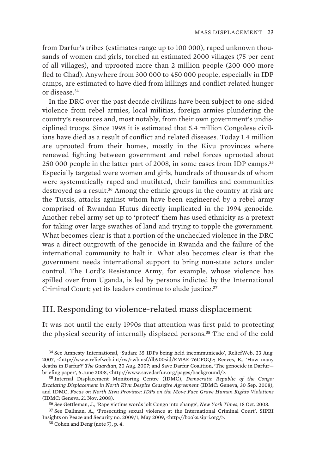from Darfur's tribes (estimates range up to 100 000), raped unknown thousands of women and girls, torched an estimated 2000 villages (75 per cent of all villages), and uprooted more than 2 million people (200 000 more fled to Chad). Anywhere from 300 000 to 450 000 people, especially in IDP camps, are estimated to have died from killings and conflict-related hunger or disease.<sup>34</sup>

In the DRC over the past decade civilians have been subject to one-sided violence from rebel armies, local militias, foreign armies plundering the country's resources and, most notably, from their own government's undisciplined troops. Since 1998 it is estimated that 5.4 million Congolese civilians have died as a result of conflict and related diseases. Today 1.4 million are uprooted from their homes, mostly in the Kivu provinces where renewed fighting between government and rebel forces uprooted about 250 000 people in the latter part of 2008, in some cases from IDP camps.<sup>35</sup> Especially targeted were women and girls, hundreds of thousands of whom were systematically raped and mutilated, their families and communities destroyed as a result.<sup>36</sup> Among the ethnic groups in the country at risk are the Tutsis, attacks against whom have been engineered by a rebel army comprised of Rwandan Hutus directly implicated in the 1994 genocide. Another rebel army set up to 'protect' them has used ethnicity as a pretext for taking over large swathes of land and trying to topple the government. What becomes clear is that a portion of the unchecked violence in the DRC was a direct outgrowth of the genocide in Rwanda and the failure of the international community to halt it. What also becomes clear is that the government needs international support to bring non-state actors under control. The Lord's Resistance Army, for example, whose violence has spilled over from Uganda, is led by persons indicted by the International Criminal Court; yet its leaders continue to elude justice.<sup>37</sup>

## III. Responding to violence-related mass displacement

It was not until the early 1990s that attention was first paid to protecting the physical security of internally displaced persons.<sup>38</sup> The end of the cold

36 See Gettleman, J., 'Rape victims words jolt Congo into change', *New York Times*, 18 Oct. 2008.

<sup>34</sup> See Amnesty International, 'Sudan: 35 IDPs being held incommunicado', ReliefWeb, 23 Aug. 2007, <http://www.reliefweb.int/rw/rwb.nsf/db900sid/EMAE-76CPGQ>; Reeves, E., 'How many deaths in Darfur?' *The Guardian*, 20 Aug. 2007; and Save Darfur Coalition, 'The genocide in Darfur briefing paper', 6 June 2008, <http://www.savedarfur.org/pages/background/>.

<sup>35</sup> Internal Displacement Monitoring Centre (IDMC), *Democratic Republic of the Congo: Escalating Displacement in North Kivu Despite Ceasefire Agreement* (IDMC: Geneva, 30 Sep. 2008); and IDMC, *Focus on North Kivu Province: IDPs on the Move Face Grave Human Rights Violations* (IDMC: Geneva, 21 Nov. 2008).

<sup>37</sup> See Dallman, A., 'Prosecuting sexual violence at the International Criminal Court', SIPRI Insights on Peace and Security no. 2009/1, May 2009, <http://books.sipri.org/>.

<sup>38</sup> Cohen and Deng (note 7), p. 4.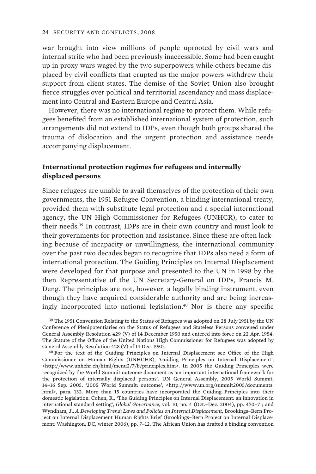war brought into view millions of people uprooted by civil wars and internal strife who had been previously inaccessible. Some had been caught up in proxy wars waged by the two superpowers while others became displaced by civil conflicts that erupted as the major powers withdrew their support from client states. The demise of the Soviet Union also brought fierce struggles over political and territorial ascendancy and mass displacement into Central and Eastern Europe and Central Asia.

However, there was no international regime to protect them. While refugees benefited from an established international system of protection, such arrangements did not extend to IDPs, even though both groups shared the trauma of dislocation and the urgent protection and assistance needs accompanying displacement.

## **International protection regimes for refugees and internally displaced persons**

Since refugees are unable to avail themselves of the protection of their own governments, the 1951 Refugee Convention, a binding international treaty, provided them with substitute legal protection and a special international agency, the UN High Commissioner for Refugees (UNHCR), to cater to their needs.<sup>39</sup> In contrast, IDPs are in their own country and must look to their governments for protection and assistance. Since these are often lacking because of incapacity or unwillingness, the international community over the past two decades began to recognize that IDPs also need a form of international protection. The Guiding Principles on Internal Displacement were developed for that purpose and presented to the UN in 1998 by the then Representative of the UN Secretary-General on IDPs, Francis M. Deng. The principles are not, however, a legally binding instrument, even though they have acquired considerable authority and are being increasingly incorporated into national legislation.<sup>40</sup> Nor is there any specific

39 The 1951 Convention Relating to the Status of Refugees was adopted on 28 July 1951 by the UN Conference of Plenipotentiaries on the Status of Refugees and Stateless Persons convened under General Assembly Resolution 429 (V) of 14 December 1950 and entered into force on 22 Apr. 1954. The Statute of the Office of the United Nations High Commissioner for Refugees was adopted by General Assembly Resolution 428 (V) of 14 Dec. 1950.

40 For the text of the Guiding Principles on Internal Displacement see Office of the High Commissioner on Human Rights (UNHCHR), 'Guiding Principles on Internal Displacement', <http://www.unhchr.ch/html/menu2/7/b/principles.htm>. In 2005 the Guiding Principles were recognized by the World Summit outcome document as 'an important international framework for the protection of internally displaced persons'. UN General Assembly, 2005 World Summit, 14–16 Sep. 2005, '2005 World Summit: outcome', <http://www.un.org/summit2005/documents. html>, para. 132. More than 15 countries have incorporated the Guiding Principles into their domestic legislation. Cohen, R., 'The Guiding Principles on Internal Displacement: an innovation in international standard setting', *Global Governance*, vol. 10, no. 4 (Oct.–Dec. 2004), pp. 470–71; and Wyndham, J., *A Developing Trend: Laws and Policies on Internal Displacement*, Brookings–Bern Project on Internal Displacement Human Rights Brief (Brookings–Bern Project on Internal Displacement: Washington, DC, winter 2006), pp. 7–12. The African Union has drafted a binding convention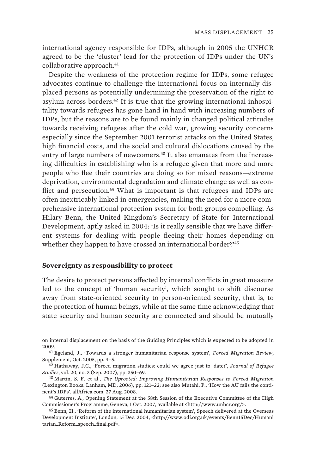international agency responsible for IDPs, although in 2005 the UNHCR agreed to be the 'cluster' lead for the protection of IDPs under the UN's collaborative approach.<sup>41</sup>

Despite the weakness of the protection regime for IDPs, some refugee advocates continue to challenge the international focus on internally displaced persons as potentially undermining the preservation of the right to asylum across borders.<sup>42</sup> It is true that the growing international inhospitality towards refugees has gone hand in hand with increasing numbers of IDPs, but the reasons are to be found mainly in changed political attitudes towards receiving refugees after the cold war, growing security concerns especially since the September 2001 terrorist attacks on the United States, high financial costs, and the social and cultural dislocations caused by the entry of large numbers of newcomers.<sup>43</sup> It also emanates from the increasing difficulties in establishing who is a refugee given that more and more people who flee their countries are doing so for mixed reasons—extreme deprivation, environmental degradation and climate change as well as conflict and persecution.<sup>44</sup> What is important is that refugees and IDPs are often inextricably linked in emergencies, making the need for a more comprehensive international protection system for both groups compelling. As Hilary Benn, the United Kingdom's Secretary of State for International Development, aptly asked in 2004: 'Is it really sensible that we have different systems for dealing with people fleeing their homes depending on whether they happen to have crossed an international border?'45

#### **Sovereignty as responsibility to protect**

The desire to protect persons affected by internal conflicts in great measure led to the concept of 'human security', which sought to shift discourse away from state-oriented security to person-oriented security, that is, to the protection of human beings, while at the same time acknowledging that state security and human security are connected and should be mutually

on internal displacement on the basis of the Guiding Principles which is expected to be adopted in 2009.

<sup>41</sup> Egeland, J., 'Towards a stronger humanitarian response system', *Forced Migration Review*, Supplement, Oct. 2005, pp. 4–5.

<sup>42</sup> Hathaway, J.C., 'Forced migration studies: could we agree just to 'date?', *Journal of Refugee Studies*, vol. 20, no. 3 (Sep. 2007), pp. 350–69.

<sup>43</sup> Martin, S. F. et al., *The Uprooted: Improving Humanitarian Responses to Forced Migration* (Lexington Books: Lanham, MD, 2006), pp. 121–22; see also Mutahi, P., 'How the AU fails the continent's IDPs', allAfrica.com, 27 Aug. 2008.

<sup>44</sup> Guterres, A., Opening Statement at the 58th Session of the Executive Committee of the High Commissioner's Programme, Geneva, 1 Oct. 2007, available at <http://www.unhcr.org/>.

<sup>45</sup> Benn, H., 'Reform of the international humanitarian system', Speech delivered at the Overseas Development Institute', London, 15 Dec. 2004, <http://www.odi.org.uk/events/Benn15Dec/Humani tarian\_Reform\_speech\_final.pdf>.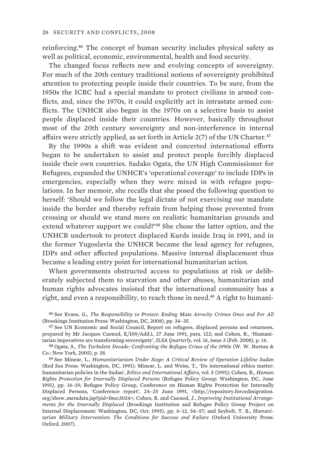reinforcing.<sup>46</sup> The concept of human security includes physical safety as well as political, economic, environmental, health and food security.

The changed focus reflects new and evolving concepts of sovereignty. For much of the 20th century traditional notions of sovereignty prohibited attention to protecting people inside their countries. To be sure, from the 1950s the ICRC had a special mandate to protect civilians in armed conflicts, and, since the 1970s, it could explicitly act in intrastate armed conflicts. The UNHCR also began in the 1970s on a selective basis to assist people displaced inside their countries. However, basically throughout most of the 20th century sovereignty and non-interference in internal affairs were strictly applied, as set forth in Article  $2(7)$  of the UN Charter.<sup>47</sup>

By the 1990s a shift was evident and concerted international efforts began to be undertaken to assist and protect people forcibly displaced inside their own countries. Sadako Ogata, the UN High Commissioner for Refugees, expanded the UNHCR's 'operational coverage' to include IDPs in emergencies, especially when they were mixed in with refugee populations. In her memoir, she recalls that she posed the following question to herself: 'Should we follow the legal dictate of not exercising our mandate inside the border and thereby refrain from helping those prevented from crossing or should we stand more on realistic humanitarian grounds and extend whatever support we could?'<sup>48</sup> She chose the latter option, and the UNHCR undertook to protect displaced Kurds inside Iraq in 1991, and in the former Yugoslavia the UNHCR became the lead agency for refugees, IDPs and other affected populations. Massive internal displacement thus became a leading entry point for international humanitarian action.

When governments obstructed access to populations at risk or deliberately subjected them to starvation and other abuses, humanitarian and human rights advocates insisted that the international community has a right, and even a responsibility, to reach those in need.49 A right to humani-

47 See UN Economic and Social Council, Report on refugees, displaced persons and returnees, prepared by Mr Jacques Cuenod, E/109/Add.1, 27 June 1991, para. 122; and Cohen, R., 'Humanitarian imperatives are transforming sovereignty', *ILSA Quarterly*, vol. 16, issue 3 (Feb. 2008), p. 14.

48 Ogata, S., *The Turbulent Decade: Confronting the Refugee Crises of the 1990s* (W. W. Norton & Co.: New York, 2005), p. 38.

49 See Minear, L., *Humanitarianism Under Siege: A Critical Review of Operation Lifeline Sudan* (Red Sea Press: Washington, DC, 1991); Minear, L. and Weiss, T., 'Do international ethics matter: humanitarian policies in the Sudan', *Ethics and International Affairs*, vol. 5 (1991); Cohen, R., *Human Rights Protection for Internally Displaced Persons* (Refugee Policy Group: Washington, DC, June 1991), pp. 16–19; Refugee Policy Group, Conference on Human Rights Protection for Internally Displaced Persons, 'Conference report', 24–25 June 1991, <http://repository.forcedmigration. org/show\_metadata.jsp?pid=fmo:3024>; Cohen, R. and Cuenod, J., *Improving Institutional Arrangements for the Internally Displaced* (Brookings Institution and Refugee Policy Group Project on Internal Displacement: Washington, DC, Oct. 1995), pp. 6–12, 54–57; and Seybolt, T. B., *Humanitarian Military Intervention: The Conditions for Success and Failure* (Oxford University Press: Oxford, 2007).

<sup>46</sup> See Evans, G., *The Responsibility to Protect: Ending Mass Atrocity Crimes Once and For All*  (Brookings Institution Press: Washington, DC, 2008), pp. 34–35.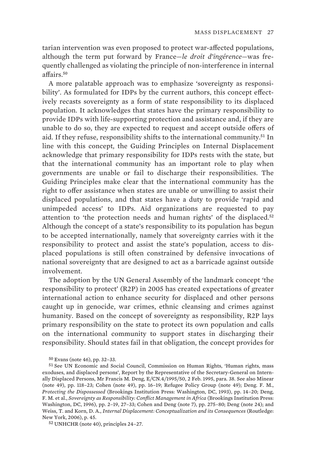tarian intervention was even proposed to protect war-affected populations, although the term put forward by France—*le droit d'ingérence*—was frequently challenged as violating the principle of non-interference in internal affairs.<sup>50</sup>

A more palatable approach was to emphasize 'sovereignty as responsibility'. As formulated for IDPs by the current authors, this concept effectively recasts sovereignty as a form of state responsibility to its displaced population. It acknowledges that states have the primary responsibility to provide IDPs with life-supporting protection and assistance and, if they are unable to do so, they are expected to request and accept outside offers of aid. If they refuse, responsibility shifts to the international community.<sup>51</sup> In line with this concept, the Guiding Principles on Internal Displacement acknowledge that primary responsibility for IDPs rests with the state, but that the international community has an important role to play when governments are unable or fail to discharge their responsibilities. The Guiding Principles make clear that the international community has the right to offer assistance when states are unable or unwilling to assist their displaced populations, and that states have a duty to provide 'rapid and unimpeded access' to IDPs. Aid organizations are requested to pay attention to 'the protection needs and human rights' of the displaced.<sup>52</sup> Although the concept of a state's responsibility to its population has begun to be accepted internationally, namely that sovereignty carries with it the responsibility to protect and assist the state's population, access to displaced populations is still often constrained by defensive invocations of national sovereignty that are designed to act as a barricade against outside involvement.

The adoption by the UN General Assembly of the landmark concept 'the responsibility to protect' (R2P) in 2005 has created expectations of greater international action to enhance security for displaced and other persons caught up in genocide, war crimes, ethnic cleansing and crimes against humanity. Based on the concept of sovereignty as responsibility, R2P lays primary responsibility on the state to protect its own population and calls on the international community to support states in discharging their responsibility. Should states fail in that obligation, the concept provides for

<sup>50</sup> Evans (note 46), pp. 32–33.

<sup>51</sup> See UN Economic and Social Council, Commission on Human Rights, 'Human rights, mass exoduses, and displaced persons', Report by the Representative of the Secretary-General on Internally Displaced Persons, Mr Francis M. Deng, E/CN.4/1995/50, 2 Feb. 1995, para. 38. See also Minear (note 49), pp. 118–23; Cohen (note 49), pp. 16–19; Refugee Policy Group (note 49); Deng. F. M., *Protecting the Dispossessed* (Brookings Institution Press: Washington, DC, 1993), pp. 14–20; Deng, F. M. et al., *Sovereignty as Responsibility: Conflict Management in Africa* (Brookings Institution Press: Washington, DC, 1996), pp. 2–19, 27–33; Cohen and Deng (note 7), pp. 275–80; Deng (note 24); and Weiss, T. and Korn, D. A., *Internal Displacement: Conceptualization and its Consequences* (Routledge: New York, 2006), p. 45.

<sup>52</sup> UNHCHR (note 40), principles 24–27.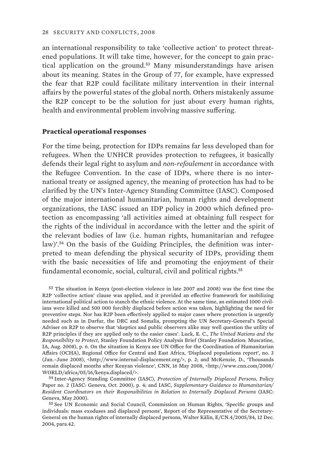an international responsibility to take 'collective action' to protect threatened populations. It will take time, however, for the concept to gain practical application on the ground.<sup>53</sup> Many misunderstandings have arisen about its meaning. States in the Group of 77, for example, have expressed the fear that R2P could facilitate military intervention in their internal affairs by the powerful states of the global north. Others mistakenly assume the R2P concept to be the solution for just about every human rights, health and environmental problem involving massive suffering.

#### **Practical operational responses**

For the time being, protection for IDPs remains far less developed than for refugees. When the UNHCR provides protection to refugees, it basically defends their legal right to asylum and *non-refoulement* in accordance with the Refugee Convention. In the case of IDPs, where there is no international treaty or assigned agency, the meaning of protection has had to be clarified by the UN's Inter-Agency Standing Committee (IASC). Composed of the major international humanitarian, human rights and development organizations, the IASC issued an IDP policy in 2000 which defined protection as encompassing 'all activities aimed at obtaining full respect for the rights of the individual in accordance with the letter and the spirit of the relevant bodies of law (i.e. human rights, humanitarian and refugee law)'.54 On the basis of the Guiding Principles, the definition was interpreted to mean defending the physical security of IDPs, providing them with the basic necessities of life and promoting the enjoyment of their fundamental economic, social, cultural, civil and political rights.<sup>55</sup>

<sup>53</sup> The situation in Kenya (post-election violence in late 2007 and 2008) was the first time the R2P 'collective action' clause was applied, and it provided an effective framework for mobilizing international political action to stanch the ethnic violence. At the same time, an estimated 1000 civilians were killed and 500 000 forcibly displaced before action was taken, highlighting the need for preventive steps. Nor has R2P been effectively applied to major cases where protection is urgently needed such as in Darfur, the DRC and Somalia, prompting the UN Secretary-General's Special Adviser on R2P to observe that 'skeptics and public observers alike may well question the utility of R2P principles if they are applied only to the easier cases'. Luck, E. C., *The United Nations and the Responsibility to Protect*, Stanley Foundation Policy Analysis Brief (Stanley Foundation: Muscatine, IA, Aug. 2008), p. 6. On the situation in Kenya see UN Office for the Coordination of Humanitarian Affairs (OCHA), Regional Office for Central and East Africa, 'Displaced populations report', no. 3 (Jan.–June 2008), <http://www.internal-displacement.org/>, p. 2; and McKenzie, D., 'Thousands remain displaced months after Kenyan violence', CNN, 16 May 2008, <http://www.cnn.com/2008/ WORLD/africa/05/16/kenya.displaced/>.

<sup>54</sup> Inter-Agency Standing Committee (IASC), *Protection of Internally Displaced Persons*, Policy Paper no. 2 (IASC: Geneva, Oct. 2000), p. 4; and IASC, *Supplementary Guidance to Humanitarian/ Resident Coordinators on their Responsibilities in Relation to Internally Displaced Persons* (IASC: Geneva, May 2000).

<sup>55</sup> See UN Economic and Social Council, Commission on Human Rights, 'Specific groups and individuals: mass exoduses and displaced persons', Report of the Representative of the Secretary-General on the human rights of internally displaced persons, Walter Kälin, E/CN.4/2005/84, 12 Dec. 2004, para.42.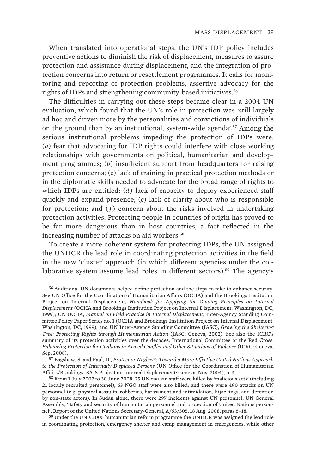When translated into operational steps, the UN's IDP policy includes preventive actions to diminish the risk of displacement, measures to assure protection and assistance during displacement, and the integration of protection concerns into return or resettlement programmes. It calls for monitoring and reporting of protection problems, assertive advocacy for the rights of IDPs and strengthening community-based initiatives.<sup>56</sup>

The difficulties in carrying out these steps became clear in a 2004 UN evaluation, which found that the UN's role in protection was 'still largely ad hoc and driven more by the personalities and convictions of individuals on the ground than by an institutional, system-wide agenda'.<sup>57</sup> Among the serious institutional problems impeding the protection of IDPs were: (*a*) fear that advocating for IDP rights could interfere with close working relationships with governments on political, humanitarian and development programmes; (*b*) insufficient support from headquarters for raising protection concerns; (*c*) lack of training in practical protection methods or in the diplomatic skills needed to advocate for the broad range of rights to which IDPs are entitled; (*d*) lack of capacity to deploy experienced staff quickly and expand presence; (*e*) lack of clarity about who is responsible for protection; and (*f*) concern about the risks involved in undertaking protection activities. Protecting people in countries of origin has proved to be far more dangerous than in host countries, a fact reflected in the increasing number of attacks on aid workers.<sup>58</sup>

To create a more coherent system for protecting IDPs, the UN assigned the UNHCR the lead role in coordinating protection activities in the field in the new 'cluster' approach (in which different agencies under the collaborative system assume lead roles in different sectors).<sup>59</sup> The agency's

56 Additional UN documents helped define protection and the steps to take to enhance security. See UN Office for the Coordination of Humanitarian Affairs (OCHA) and the Brookings Institution Project on Internal Displacement, *Handbook for Applying the Guiding Principles on Internal Displacement* (OCHA and Brookings Institution Project on Internal Displacement: Washington, DC, 1999); UN OCHA, *Manual on Field Practice in Internal Displacement*, Inter-Agency Standing Committee Policy Paper Series no. 1 (OCHA and Brookings Institution Project on Internal Displacement: Washington, DC, 1999); and UN Inter-Agency Standing Committee (IASC), *Growing the Sheltering Tree: Protecting Rights through Humanitarian Action* (IASC: Geneva, 2002). See also the ICRC's summary of its protection activities over the decades. International Committee of the Red Cross, *Enhancing Protection for Civilians in Armed Conflict and Other Situations of Violence* (ICRC: Geneva, Sep. 2008).

57 Bagshaw, S. and Paul, D., *Protect or Neglect?: Toward a More Effective United Nations Approach to the Protection of Internally Displaced Persons* (UN Office for the Coordination of Humanitarian Affairs/Brookings–SAIS Project on Internal Displacement: Geneva, Nov. 2004), p. 3.

58 From 1 July 2007 to 30 June 2008, 25 UN civilian staff were killed by 'malicious acts' (including 21 locally recruited personnel); 63 NGO staff were also killed; and there were 490 attacks on UN personnel (e.g. physical assaults, robberies, harassment and intimidation, hijackings, and detention by non-state actors). In Sudan alone, there were 297 incidents against UN personnel. UN General Assembly, 'Safety and security of humanitarian personnel and protection of United Nations personnel', Report of the United Nations Secretary-General, A/63/305, 18 Aug. 2008, paras 6–18.

59 Under the UN's 2005 humanitarian reform programme the UNHCR was assigned the lead role in coordinating protection, emergency shelter and camp management in emergencies, while other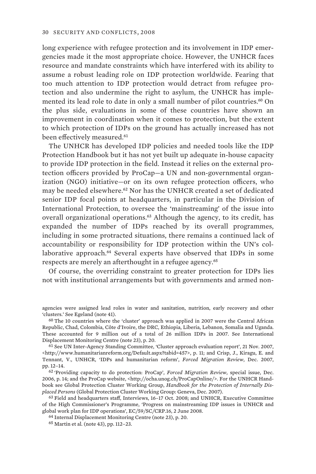long experience with refugee protection and its involvement in IDP emergencies made it the most appropriate choice. However, the UNHCR faces resource and mandate constraints which have interfered with its ability to assume a robust leading role on IDP protection worldwide. Fearing that too much attention to IDP protection would detract from refugee protection and also undermine the right to asylum, the UNHCR has implemented its lead role to date in only a small number of pilot countries.<sup>60</sup> On the plus side, evaluations in some of these countries have shown an improvement in coordination when it comes to protection, but the extent to which protection of IDPs on the ground has actually increased has not been effectively measured.<sup>61</sup>

The UNHCR has developed IDP policies and needed tools like the IDP Protection Handbook but it has not yet built up adequate in-house capacity to provide IDP protection in the field. Instead it relies on the external protection officers provided by ProCap—a UN and non-governmental organization (NGO) initiative—or on its own refugee protection officers, who may be needed elsewhere.<sup>62</sup> Nor has the UNHCR created a set of dedicated senior IDP focal points at headquarters, in particular in the Division of International Protection, to oversee the 'mainstreaming' of the issue into overall organizational operations.<sup>63</sup> Although the agency, to its credit, has expanded the number of IDPs reached by its overall programmes, including in some protracted situations, there remains a continued lack of accountability or responsibility for IDP protection within the UN's collaborative approach.<sup>64</sup> Several experts have observed that IDPs in some respects are merely an afterthought in a refugee agency.<sup>65</sup>

Of course, the overriding constraint to greater protection for IDPs lies not with institutional arrangements but with governments and armed non-

62 'Providing capacity to do protection: ProCap', *Forced Migration Review*, special issue, Dec. 2006, p. 14; and the ProCap website, <http://ocha.unog.ch/ProCapOnline/>. For the UNHCR Handbook see Global Protection Cluster Working Group, *Handbook for the Protection of Internally Displaced Persons* (Global Protection Cluster Working Group: Geneva, Dec. 2007).

63 Field and headquarters staff, Interviews, 16–17 Oct. 2008; and UNHCR, Executive Committee of the High Commissioner's Programme, 'Progress on mainstreaming IDP issues in UNHCR and global work plan for IDP operations', EC/59/SC/CRP.16, 2 June 2008.

64 Internal Displacement Monitoring Centre (note 23), p. 20.

agencies were assigned lead roles in water and sanitation, nutrition, early recovery and other 'clusters.' See Egeland (note 41).

 $60$  The 10 countries where the 'cluster' approach was applied in 2007 were the Central African Republic, Chad, Colombia, Côte d'Ivoire, the DRC, Ethiopia, Liberia, Lebanon, Somalia and Uganda. These accounted for 9 million out of a total of 26 million IDPs in 2007. See International Displacement Monitoring Centre (note 23), p. 20.

<sup>61</sup> See UN Inter-Agency Standing Committee, 'Cluster approach evaluation report', 21 Nov. 2007, <http://www.humanitarianreform.org/Default.aspx?tabid=457>, p. 11; and Crisp, J., Kiragu, E. and Tennant, V., UNHCR, 'IDPs and humanitarian reform', *Forced Migration Review*, Dec. 2007, pp. 12–14.

<sup>65</sup> Martin et al. (note 43), pp. 112–23.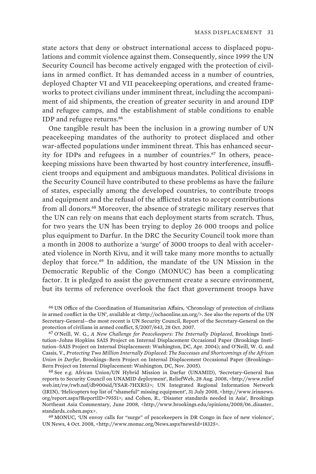state actors that deny or obstruct international access to displaced populations and commit violence against them. Consequently, since 1999 the UN Security Council has become actively engaged with the protection of civilians in armed conflict. It has demanded access in a number of countries, deployed Chapter VI and VII peacekeeping operations, and created frameworks to protect civilians under imminent threat, including the accompaniment of aid shipments, the creation of greater security in and around IDP and refugee camps, and the establishment of stable conditions to enable IDP and refugee returns.<sup>66</sup>

One tangible result has been the inclusion in a growing number of UN peacekeeping mandates of the authority to protect displaced and other war-affected populations under imminent threat. This has enhanced security for IDPs and refugees in a number of countries.<sup>67</sup> In others, peacekeeping missions have been thwarted by host country interference, insufficient troops and equipment and ambiguous mandates. Political divisions in the Security Council have contributed to these problems as have the failure of states, especially among the developed countries, to contribute troops and equipment and the refusal of the afflicted states to accept contributions from all donors.<sup>68</sup> Moreover, the absence of strategic military reserves that the UN can rely on means that each deployment starts from scratch. Thus, for two years the UN has been trying to deploy 26 000 troops and police plus equipment to Darfur. In the DRC the Security Council took more than a month in 2008 to authorize a 'surge' of 3000 troops to deal with accelerated violence in North Kivu, and it will take many more months to actually deploy that force.<sup>69</sup> In addition, the mandate of the UN Mission in the Democratic Republic of the Congo (MONUC) has been a complicating factor. It is pledged to assist the government create a secure environment, but its terms of reference overlook the fact that government troops have

66 UN Office of the Coordination of Humanitarian Affairs, 'Chronology of protection of civilians in armed conflict in the UN', available at <http://ochaonline.un.org/>. See also the reports of the UN Secretary-General—the most recent is UN Security Council, Report of the Secretary-General on the protection of civilians in armed conflict, S/2007/643, 28 Oct. 2007.

67 O'Neill, W. G., *A New Challenge for Peacekeepers: The Internally Displaced*, Brookings Institution–Johns Hopkins SAIS Project on Internal Displacement Occasional Paper (Brookings Institution–SAIS Project on Internal Displacement: Washington, DC, Apr. 2004); and O'Neill, W. G. and Cassis, V., *Protecting Two Million Internally Displaced: The Successes and Shortcomings of the African Union in Darfur*, Brookings–Bern Project on Internal Displacement Occasional Paper (Brookings– Bern Project on Internal Displacement: Washington, DC, Nov. 2005).

68 See e.g. African Union/UN Hybrid Mission in Darfur (UNAMID), 'Secretary-General Ban reports to Security Council on UNAMID deployment', ReliefWeb, 28 Aug. 2008, <http://www.relief web.int/rw/rwb.nsf/db900sid/YSAR-7HXR53>; UN Integrated Regional Information Network (IRIN), 'Helicopters top list of "shameful" missing equipment', 31 July 2008, <http://www.irinnews. org/report.aspx?ReportID=79551>; and Cohen, R., 'Disaster standards needed in Asia', Brookings Northeast Asia Commentary, June 2008, <http://www.brookings.edu/opinions/2008/06\_disaster\_ standards\_cohen.aspx>.

69 MONUC, 'UN envoy calls for "surge" of peacekeepers in DR Congo in face of new violence', UN News, 4 Oct. 2008, <http://www.monuc.org/News.aspx?newsId=18325>.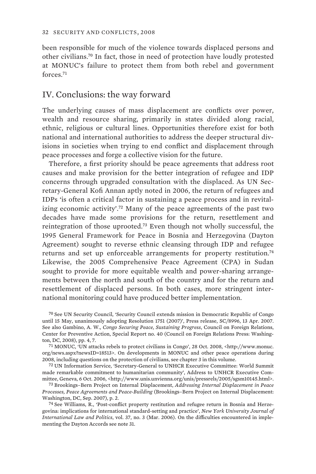been responsible for much of the violence towards displaced persons and other civilians.<sup>70</sup> In fact, those in need of protection have loudly protested at MONUC's failure to protect them from both rebel and government forces.<sup>71</sup>

## IV. Conclusions: the way forward

The underlying causes of mass displacement are conflicts over power, wealth and resource sharing, primarily in states divided along racial, ethnic, religious or cultural lines. Opportunities therefore exist for both national and international authorities to address the deeper structural divisions in societies when trying to end conflict and displacement through peace processes and forge a collective vision for the future.

Therefore, a first priority should be peace agreements that address root causes and make provision for the better integration of refugee and IDP concerns through upgraded consultation with the displaced. As UN Secretary-General Kofi Annan aptly noted in 2006, the return of refugees and IDPs 'is often a critical factor in sustaining a peace process and in revitalizing economic activity'.<sup>72</sup> Many of the peace agreements of the past two decades have made some provisions for the return, resettlement and reintegration of those uprooted.<sup>73</sup> Even though not wholly successful, the 1995 General Framework for Peace in Bosnia and Herzegovina (Dayton Agreement) sought to reverse ethnic cleansing through IDP and refugee returns and set up enforceable arrangements for property restitution.<sup>74</sup> Likewise, the 2005 Comprehensive Peace Agreement (CPA) in Sudan sought to provide for more equitable wealth and power-sharing arrangements between the north and south of the country and for the return and resettlement of displaced persons. In both cases, more stringent international monitoring could have produced better implementation.

70 See UN Security Council, 'Security Council extends mission in Democratic Republic of Congo until 15 May, unanimously adopting Resolution 1751 (2007)', Press release, SC/8996, 13 Apr. 2007. See also Gambino, A. W., *Congo Securing Peace, Sustaining Progress*, Council on Foreign Relations, Center for Preventive Action, Special Report no. 40 (Council on Foreign Relations Press: Washington, DC, 2008), pp. 4, 7.

71 MONUC, 'UN attacks rebels to protect civilians in Congo', 28 Oct. 2008, <http://www.monuc. org/news.aspx?newsID=18513>. On developments in MONUC and other peace operations during 2008, including questions on the protection of civilians, see chapter 3 in this volume.

72 UN Information Service, 'Secretary-General to UNHCR Executive Committee: World Summit made remarkable commitment to humanitarian community', Address to UNHCR Executive Committee, Geneva, 6 Oct. 2006, <http://www.unis.unvienna.org/unis/pressrels/2005/sgsm10145.html>.

73 Brookings–Bern Project on Internal Displacement, *Addressing Internal Displacement in Peace Processes, Peace Agreements and Peace-Building* (Brookings–Bern Project on Internal Displacement: Washington, DC, Sep. 2007), p. 2.

74 See Williams, R., 'Post-conflict property restitution and refugee return in Bosnia and Herzegovina: implications for international standard-setting and practice', *New York University Journal of International Law and Politics*, vol. 37, no. 3 (Mar. 2006). On the difficulties encountered in implementing the Dayton Accords see note 31.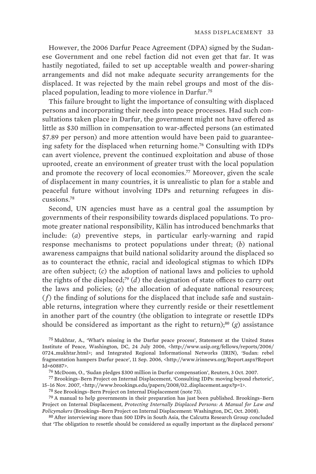However, the 2006 Darfur Peace Agreement (DPA) signed by the Sudanese Government and one rebel faction did not even get that far. It was hastily negotiated, failed to set up acceptable wealth and power-sharing arrangements and did not make adequate security arrangements for the displaced. It was rejected by the main rebel groups and most of the displaced population, leading to more violence in Darfur.<sup>75</sup>

This failure brought to light the importance of consulting with displaced persons and incorporating their needs into peace processes. Had such consultations taken place in Darfur, the government might not have offered as little as \$30 million in compensation to war-affected persons (an estimated \$7.89 per person) and more attention would have been paid to guaranteeing safety for the displaced when returning home.<sup>76</sup> Consulting with IDPs can avert violence, prevent the continued exploitation and abuse of those uprooted, create an environment of greater trust with the local population and promote the recovery of local economies.<sup>77</sup> Moreover, given the scale of displacement in many countries, it is unrealistic to plan for a stable and peaceful future without involving IDPs and returning refugees in discussions.<sup>78</sup>

Second, UN agencies must have as a central goal the assumption by governments of their responsibility towards displaced populations. To promote greater national responsibility, Kälin has introduced benchmarks that include: (*a*) preventive steps, in particular early-warning and rapid response mechanisms to protect populations under threat; (*b*) national awareness campaigns that build national solidarity around the displaced so as to counteract the ethnic, racial and ideological stigmas to which IDPs are often subject; (*c*) the adoption of national laws and policies to uphold the rights of the displaced;<sup>79</sup> (*d*) the designation of state offices to carry out the laws and policies; (*e*) the allocation of adequate national resources; (*f*) the finding of solutions for the displaced that include safe and sustainable returns, integration where they currently reside or their resettlement in another part of the country (the obligation to integrate or resettle IDPs should be considered as important as the right to return);<sup>80</sup> (*g*) assistance

75 Mukhtar, A., 'What's missing in the Darfur peace process', Statement at the United States Institute of Peace, Washington, DC, 24 July 2006, <http://www.usip.org/fellows/reports/2006/ 0724\_mukhtar.html>; and Integrated Regional Informational Networks (IRIN), 'Sudan: rebel fragmentation hampers Darfur peace', 11 Sep. 2006, <http://www.irinnews.org/Report.aspx?Report Id=60887>.

76 McDoom, O., 'Sudan pledges \$300 million in Darfur compensation', Reuters, 3 Oct. 2007.

77 Brookings–Bern Project on Internal Displacement, 'Consulting IDPs: moving beyond rhetoric', 15–16 Nov. 2007, <http://www.brookings.edu/papers/2008/02\_displacement.aspx?p=1>.

78 See Brookings–Bern Project on Internal Displacement (note 73).

79 A manual to help governments in their preparation has just been published. Brookings–Bern Project on Internal Displacement, *Protecting Internally Displaced Persons: A Manual for Law and Policymakers* (Brookings–Bern Project on Internal Displacement: Washington, DC, Oct. 2008).

80 After interviewing more than 500 IDPs in South Asia, the Calcutta Research Group concluded that 'The obligation to resettle should be considered as equally important as the displaced persons'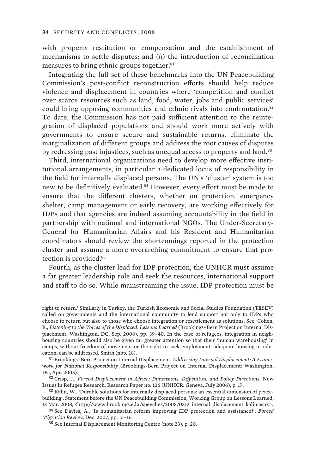with property restitution or compensation and the establishment of mechanisms to settle disputes; and (*h*) the introduction of reconciliation measures to bring ethnic groups together.<sup>81</sup>

Integrating the full set of these benchmarks into the UN Peacebuilding Commission's post-conflict reconstruction efforts should help reduce violence and displacement in countries where 'competition and conflict over scarce resources such as land, food, water, jobs and public services' could bring opposing communities and ethnic rivals into confrontation.<sup>82</sup> To date, the Commission has not paid sufficient attention to the reintegration of displaced populations and should work more actively with governments to ensure secure and sustainable returns, eliminate the marginalization of different groups and address the root causes of disputes by redressing past injustices, such as unequal access to property and land.<sup>83</sup>

Third, international organizations need to develop more effective institutional arrangements, in particular a dedicated locus of responsibility in the field for internally displaced persons. The UN's 'cluster' system is too new to be definitively evaluated.<sup>84</sup> However, every effort must be made to ensure that the different clusters, whether on protection, emergency shelter, camp management or early recovery, are working effectively for IDPs and that agencies are indeed assuming accountability in the field in partnership with national and international NGOs. The Under-Secretary-General for Humanitarian Affairs and his Resident and Humanitarian coordinators should review the shortcomings reported in the protection cluster and assume a more overarching commitment to ensure that protection is provided.<sup>85</sup>

Fourth, as the cluster lead for IDP protection, the UNHCR must assume a far greater leadership role and seek the resources, international support and staff to do so. While mainstreaming the issue, IDP protection must be

81 Brookings–Bern Project on Internal Displacement, *Addressing Internal Displacement: A Framework for National Responsibility* (Brookings-Bern Project on Internal Displacement: Washington, DC, Apr. 2005).

82 Crisp, J., *Forced Displacement in Africa: Dimensions, Difficulties, and Policy Directions*, New Issues in Refugee Research, Research Paper no. 126 (UNHCR: Geneva, July 2006), p. 17.

83 Kälin, W., 'Durable solutions for internally displaced persons: an essential dimension of peacebuilding', Statement before the UN Peacebuilding Commission, Working Group on Lessons Learned, 13 Mar. 2008, <http://www.brookings.edu/speeches/2008/0313\_internal\_displacement\_kalin.aspx>.

84 See Davies, A., 'Is humanitarian reform improving IDP protection and assistance?', *Forced Migration Review*, Dec. 2007, pp. 15–16.

right to return.' Similarly in Turkey, the Turkish Economic and Social Studies Foundation (TESEV) called on governments and the international community to lend support not only to IDPs who choose to return but also to those who choose integration or resettlement as solutions. See Cohen, R., *Listening to the Voices of the Displaced: Lessons Learned* (Brookings–Bern Project on Internal Displacement: Washington, DC, Sep. 2008), pp. 39–40. In the case of refugees, integration in neighbouring countries should also be given far greater attention so that their 'human warehousing' in camps, without freedom of movement or the right to seek employment, adequate housing or education, can be addressed. Smith (note 18).

<sup>85</sup> See Internal Displacement Monitoring Centre (note 23), p. 20.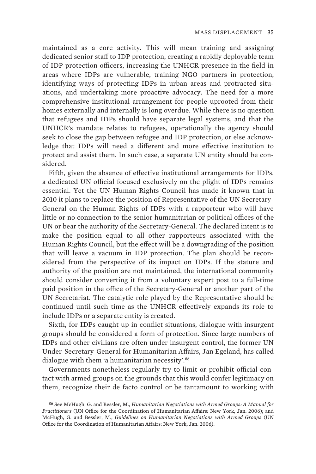maintained as a core activity. This will mean training and assigning dedicated senior staff to IDP protection, creating a rapidly deployable team of IDP protection officers, increasing the UNHCR presence in the field in areas where IDPs are vulnerable, training NGO partners in protection, identifying ways of protecting IDPs in urban areas and protracted situations, and undertaking more proactive advocacy. The need for a more comprehensive institutional arrangement for people uprooted from their homes externally and internally is long overdue. While there is no question that refugees and IDPs should have separate legal systems, and that the UNHCR's mandate relates to refugees, operationally the agency should seek to close the gap between refugee and IDP protection, or else acknowledge that IDPs will need a different and more effective institution to protect and assist them. In such case, a separate UN entity should be considered.

Fifth, given the absence of effective institutional arrangements for IDPs, a dedicated UN official focused exclusively on the plight of IDPs remains essential. Yet the UN Human Rights Council has made it known that in 2010 it plans to replace the position of Representative of the UN Secretary-General on the Human Rights of IDPs with a rapporteur who will have little or no connection to the senior humanitarian or political offices of the UN or bear the authority of the Secretary-General. The declared intent is to make the position equal to all other rapporteurs associated with the Human Rights Council, but the effect will be a downgrading of the position that will leave a vacuum in IDP protection. The plan should be reconsidered from the perspective of its impact on IDPs. If the stature and authority of the position are not maintained, the international community should consider converting it from a voluntary expert post to a full-time paid position in the office of the Secretary-General or another part of the UN Secretariat. The catalytic role played by the Representative should be continued until such time as the UNHCR effectively expands its role to include IDPs or a separate entity is created.

Sixth, for IDPs caught up in conflict situations, dialogue with insurgent groups should be considered a form of protection. Since large numbers of IDPs and other civilians are often under insurgent control, the former UN Under-Secretary-General for Humanitarian Affairs, Jan Egeland, has called dialogue with them 'a humanitarian necessity'.<sup>86</sup>

Governments nonetheless regularly try to limit or prohibit official contact with armed groups on the grounds that this would confer legitimacy on them, recognize their de facto control or be tantamount to working with

<sup>86</sup> See McHugh, G. and Bessler, M., *Humanitarian Negotiations with Armed Groups: A Manual for Practitioners* (UN Office for the Coordination of Humanitarian Affairs: New York, Jan. 2006); and McHugh, G. and Bessler, M., *Guidelines on Humanitarian Negotiations with Armed Groups* (UN Office for the Coordination of Humanitarian Affairs: New York, Jan. 2006).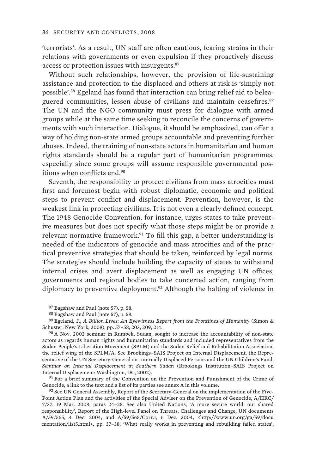'terrorists'. As a result, UN staff are often cautious, fearing strains in their relations with governments or even expulsion if they proactively discuss access or protection issues with insurgents.<sup>87</sup>

Without such relationships, however, the provision of life-sustaining assistance and protection to the displaced and others at risk is 'simply not possible'.88 Egeland has found that interaction can bring relief aid to beleaguered communities, lessen abuse of civilians and maintain ceasefires.<sup>89</sup> The UN and the NGO community must press for dialogue with armed groups while at the same time seeking to reconcile the concerns of governments with such interaction. Dialogue, it should be emphasized, can offer a way of holding non-state armed groups accountable and preventing further abuses. Indeed, the training of non-state actors in humanitarian and human rights standards should be a regular part of humanitarian programmes, especially since some groups will assume responsible governmental positions when conflicts end.<sup>90</sup>

Seventh, the responsibility to protect civilians from mass atrocities must first and foremost begin with robust diplomatic, economic and political steps to prevent conflict and displacement. Prevention, however, is the weakest link in protecting civilians. It is not even a clearly defined concept. The 1948 Genocide Convention, for instance, urges states to take preventive measures but does not specify what those steps might be or provide a relevant normative framework.<sup>91</sup> To fill this gap, a better understanding is needed of the indicators of genocide and mass atrocities and of the practical preventive strategies that should be taken, reinforced by legal norms. The strategies should include building the capacity of states to withstand internal crises and avert displacement as well as engaging UN offices, governments and regional bodies to take concerted action, ranging from diplomacy to preventive deployment.<sup>92</sup> Although the halting of violence in

87 Bagshaw and Paul (note 57), p. 58.

89 Egeland, J., *A Billion Lives: An Eyewitness Report from the Frontlines of Humanity* (Simon & Schuster: New York, 2008), pp. 57–58, 203, 209, 214.

90 A Nov. 2002 seminar in Rumbek, Sudan, sought to increase the accountability of non-state actors as regards human rights and humanitarian standards and included representatives from the Sudan People's Liberation Movement (SPLM) and the Sudan Relief and Rehabilitation Association, the relief wing of the SPLM/A. See Brookings–SAIS Project on Internal Displacement, the Representative of the UN Secretary-General on Internally Displaced Persons and the UN Children's Fund, *Seminar on Internal Displacement in Southern Sudan* (Brookings Institution–SAIS Project on Internal Displacement: Washington, DC, 2002).

91 For a brief summary of the Convention on the Prevention and Punishment of the Crime of Genocide, a link to the text and a list of its parties see annex A in this volume.

92 See UN General Assembly, Report of the Secretary-General on the implementation of the Five-Point Action Plan and the activities of the Special Adviser on the Prevention of Genocide, A/HRC/ 7/37, 19 Mar. 2008, paras 24–25. See also United Nations, 'A more secure world: our shared responsibility', Report of the High-level Panel on Threats, Challenges and Change, UN documents A/59/565, 4 Dec. 2004, and A/59/565/Corr.1, 6 Dec. 2004, <http://www.un.org/ga/59/docu mentation/list5.html>, pp. 37–38; 'What really works in preventing and rebuilding failed states',

<sup>88</sup> Bagshaw and Paul (note 57), p. 58.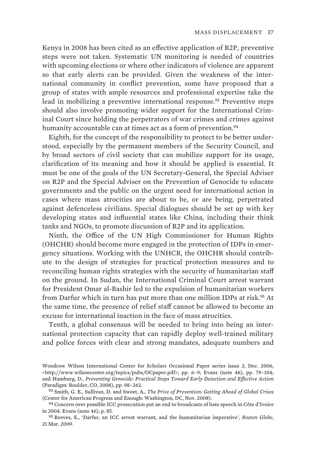Kenya in 2008 has been cited as an effective application of R2P, preventive steps were not taken. Systematic UN monitoring is needed of countries with upcoming elections or where other indicators of violence are apparent so that early alerts can be provided. Given the weakness of the international community in conflict prevention, some have proposed that a group of states with ample resources and professional expertise take the lead in mobilizing a preventive international response.<sup>93</sup> Preventive steps should also involve promoting wider support for the International Criminal Court since holding the perpetrators of war crimes and crimes against humanity accountable can at times act as a form of prevention.<sup>94</sup>

Eighth, for the concept of the responsibility to protect to be better understood, especially by the permanent members of the Security Council, and by broad sectors of civil society that can mobilize support for its usage, clarification of its meaning and how it should be applied is essential. It must be one of the goals of the UN Secretary-General, the Special Adviser on R2P and the Special Adviser on the Prevention of Genocide to educate governments and the public on the urgent need for international action in cases where mass atrocities are about to be, or are being, perpetrated against defenceless civilians. Special dialogues should be set up with key developing states and influential states like China, including their think tanks and NGOs, to promote discussion of R2P and its application.

Ninth, the Office of the UN High Commissioner for Human Rights (OHCHR) should become more engaged in the protection of IDPs in emergency situations. Working with the UNHCR, the OHCHR should contribute to the design of strategies for practical protection measures and to reconciling human rights strategies with the security of humanitarian staff on the ground. In Sudan, the International Criminal Court arrest warrant for President Omar al-Bashir led to the expulsion of humanitarian workers from Darfur which in turn has put more than one million IDPs at risk.<sup>95</sup> At the same time, the presence of relief staff cannot be allowed to become an excuse for international inaction in the face of mass atrocities.

Tenth, a global consensus will be needed to bring into being an international protection capacity that can rapidly deploy well-trained military and police forces with clear and strong mandates, adequate numbers and

Woodrow Wilson International Center for Scholars Occasional Paper series issue 2, Dec. 2006,  $\text{http://www.wilsoncenter.org/topies/pubs/OCpaper.pdf}$ , pp. 6–9; Evans (note 46), pp. 79–104; and Hamburg, D., *Preventing Genocide: Practical Steps Toward Early Detection and Effective Action* (Paradigm: Boulder, CO, 2008), pp. 98–262.

<sup>93</sup> Smith, G. E., Sullivan, D. and Sweet, A., *The Price of Prevention: Getting Ahead of Global Crises* (Center for American Progress and Enough: Washington, DC, Nov. 2008).

<sup>94</sup> Concern over possible ICC prosecution put an end to broadcasts of hate speech in Côte d'Ivoire in 2004. Evans (note 46), p. 85.

<sup>95</sup> Reeves, E., 'Darfur, an ICC arrest warrant, and the humanitarian imperative', *Boston Globe*, 21 Mar. 2009.